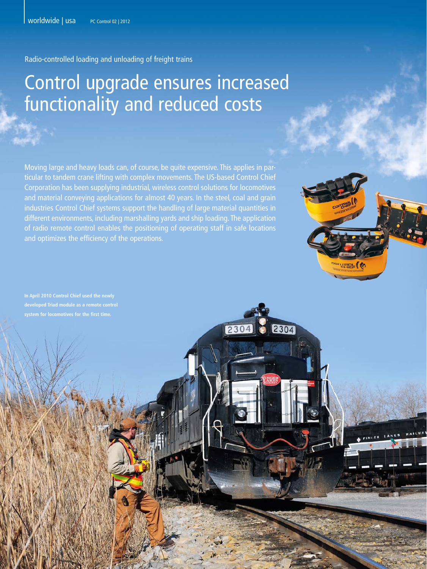Radio-controlled loading and unloading of freight trains

# Control upgrade ensures increased functionality and reduced costs

Moving large and heavy loads can, of course, be quite expensive. This applies in particular to tandem crane lifting with complex movements. The US-based Control Chief Corporation has been supplying industrial, wireless control solutions for locomotives and material conveying applications for almost 40 years. In the steel, coal and grain industries Control Chief systems support the handling of large material quantities in different environments, including marshalling yards and ship loading. The application of radio remote control enables the positioning of operating staff in safe locations and optimizes the efficiency of the operations.

2304

 $230$ 

**In April 2010 Control Chief used the newly**